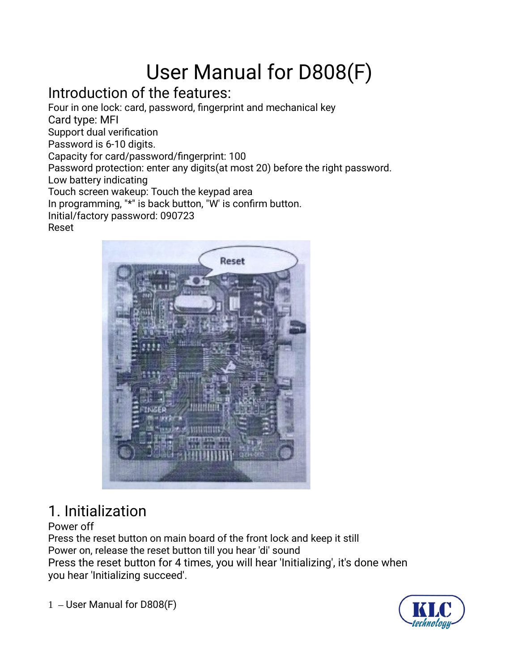# User Manual for D808(F)

### Introduction of the features:

Four in one lock: card, password, fingerprint and mechanical key Card type: MFI Support dual verification Password is 6-10 digits. Capacity for card/password/fingerprint: 100 Password protection: enter any digits(at most 20) before the right password. Low battery indicating

Touch screen wakeup: Touch the keypad area

In programming, "\*" is back button, "W' is confirm button.

Initial/factory password: 090723

#### Reset



# 1. Initialization

#### Power off

Press the reset button on main board of the front lock and keep it still Power on, release the reset button till you hear 'di' sound Press the reset button for 4 times, you will hear 'Initializing', it's done when you hear 'Initializing succeed'.

1 – User Manual for D808(F)

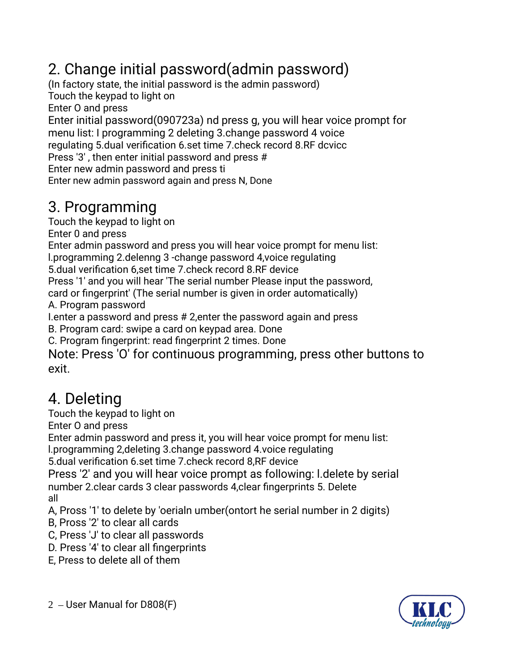# 2. Change initial password(admin password)

(In factory state, the initial password is the admin password)

Touch the keypad to light on

Enter O and press

Enter initial password(090723a) nd press g, you will hear voice prompt for menu list: I programming 2 deleting 3.change password 4 voice regulating 5.duaI verification 6.set time 7.check record 8.RF dcvicc Press '3' , then enter initial password and press # Enter new admin password and press ti

Enter new admin password again and press N, Done

# 3. Programming

Touch the keypad to light on

Enter 0 and press

Enter admin password and press you will hear voice prompt for menu list:

l.programming 2.delenng 3 -change password 4,voice regulating

5.duaI verification 6,set time 7.check record 8.RF device

Press '1' and you will hear 'The serial number Please input the password,

card or fingerprint' (The serial number is given in order automatically) A. Program password

I.enter a password and press # 2,enter the password again and press

B. Program card: swipe a card on keypad area. Done

C. Program fingerprint: read fingerprint 2 times. Done

Note: Press 'O' for continuous programming, press other buttons to exit.

# 4. Deleting

Touch the keypad to light on

Enter O and press

Enter admin password and press it, you will hear voice prompt for menu list:

l.programming 2,deleting 3.change password 4.voice regulating

5.dual verification 6.set time 7.check record 8,RF device

Press '2' and you will hear voice prompt as following: l.delete by serial number 2.clear cards 3 clear passwords 4,clear fingerprints 5. Delete all

A, Pross '1' to delete by 'oerialn umber(ontort he serial number in 2 digits)

- B, Pross '2' to clear all cards
- C, Press 'J' to clear all passwords
- D. Press '4' to clear all fingerprints
- E, Press to delete all of them

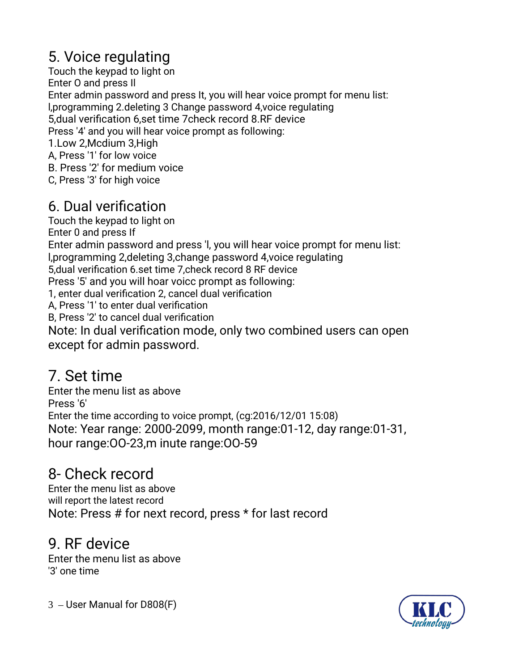# 5. Voice regulating

Touch the keypad to light on Enter O and press Il Enter admin password and press It, you will hear voice prompt for menu list: l,programming 2.deleting 3 Change password 4,voice regulating 5,dual verification 6,set time 7check record 8.RF device Press '4' and you will hear voice prompt as following: 1.Low 2,Mcdium 3,High A, Press '1' for low voice B. Press '2' for medium voice C, Press '3' for high voice

### 6. Dual verification

Touch the keypad to light on Enter 0 and press If Enter admin password and press 'l, you will hear voice prompt for menu list: l,programming 2,deleting 3,change password 4,voice regulating 5,dual verification 6.set time 7,check record 8 RF device Press '5' and you will hoar voicc prompt as following: 1, enter dual verification 2, cancel dual verification A, Press '1' to enter dual verification B, Press '2' to cancel dual verification Note: In dual verification mode, only two combined users can open except for admin password.

# 7. Set time

Enter the menu list as above Press '6' Enter the time according to voice prompt, (cg:2016/12/01 15:08) Note: Year range: 2000-2099, month range:01-12, day range:01-31, hour range:OO-23,m inute range:OO-59

# 8- Check record

Enter the menu list as above will report the latest record Note: Press # for next record, press \* for last record

#### 9. RF device

Enter the menu list as above '3' one time

3 – User Manual for D808(F)